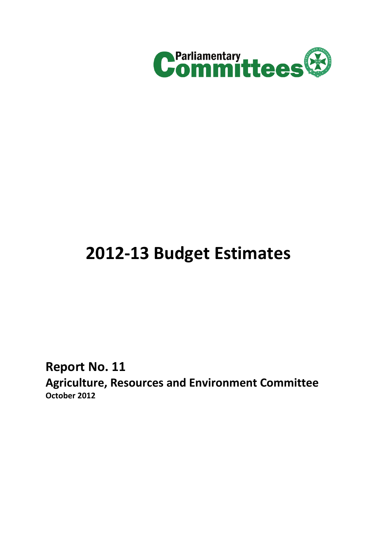

# **2012-13 Budget Estimates**

**Report No. 11**

**Agriculture, Resources and Environment Committee October 2012**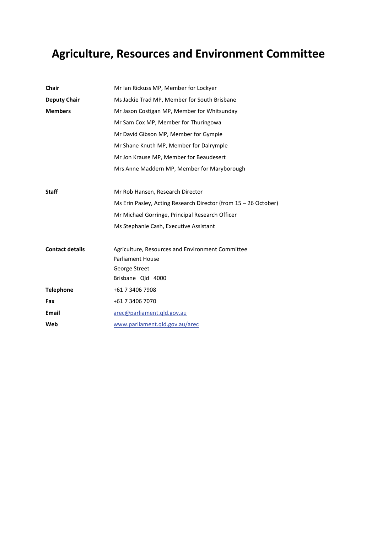# **Agriculture, Resources and Environment Committee**

| <b>Chair</b>           | Mr Ian Rickuss MP, Member for Lockyer                           |  |  |
|------------------------|-----------------------------------------------------------------|--|--|
| <b>Deputy Chair</b>    | Ms Jackie Trad MP, Member for South Brisbane                    |  |  |
| <b>Members</b>         | Mr Jason Costigan MP, Member for Whitsunday                     |  |  |
|                        | Mr Sam Cox MP, Member for Thuringowa                            |  |  |
|                        | Mr David Gibson MP, Member for Gympie                           |  |  |
|                        | Mr Shane Knuth MP, Member for Dalrymple                         |  |  |
|                        | Mr Jon Krause MP, Member for Beaudesert                         |  |  |
|                        | Mrs Anne Maddern MP, Member for Maryborough                     |  |  |
|                        |                                                                 |  |  |
| <b>Staff</b>           | Mr Rob Hansen, Research Director                                |  |  |
|                        | Ms Erin Pasley, Acting Research Director (from 15 - 26 October) |  |  |
|                        | Mr Michael Gorringe, Principal Research Officer                 |  |  |
|                        | Ms Stephanie Cash, Executive Assistant                          |  |  |
| <b>Contact details</b> | Agriculture, Resources and Environment Committee                |  |  |
|                        | <b>Parliament House</b>                                         |  |  |
|                        | George Street                                                   |  |  |
|                        | Brisbane Qld 4000                                               |  |  |
| <b>Telephone</b>       | +61 7 3406 7908                                                 |  |  |
| Fax                    | +61 7 3406 7070                                                 |  |  |
| Email                  | arec@parliament.qld.gov.au                                      |  |  |
| Web                    | www.parliament.gld.gov.au/arec                                  |  |  |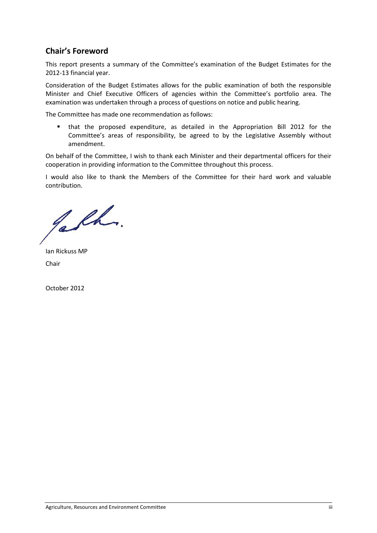# **Chair's Foreword**

This report presents a summary of the Committee's examination of the Budget Estimates for the 2012-13 financial year.

Consideration of the Budget Estimates allows for the public examination of both the responsible Minister and Chief Executive Officers of agencies within the Committee's portfolio area. The examination was undertaken through a process of questions on notice and public hearing.

The Committee has made one recommendation as follows:

 that the proposed expenditure, as detailed in the Appropriation Bill 2012 for the Committee's areas of responsibility, be agreed to by the Legislative Assembly without amendment.

On behalf of the Committee, I wish to thank each Minister and their departmental officers for their cooperation in providing information to the Committee throughout this process.

I would also like to thank the Members of the Committee for their hard work and valuable contribution.

Jabh.

Ian Rickuss MP Chair

October 2012

Agriculture, Resources and Environment Committee iii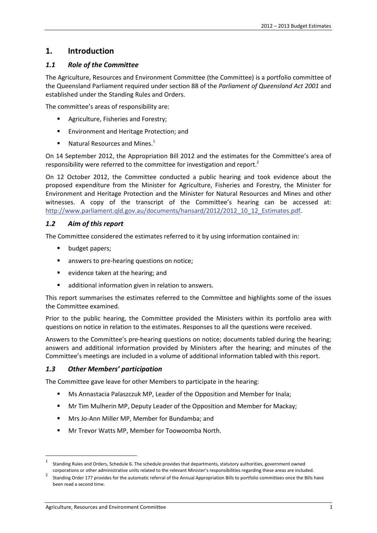# **1. Introduction**

# *1.1 Role of the Committee*

The Agriculture, Resources and Environment Committee (the Committee) is a portfolio committee of the Queensland Parliament required under section 88 of the *Parliament of Queensland Act 2001* and established under the Standing Rules and Orders.

The committee's areas of responsibility are:

- Agriculture, Fisheries and Forestry;
- **Environment and Heritage Protection; and**
- $\blacksquare$  Natural Resources and Mines.<sup>1</sup>

On 14 September 2012, the Appropriation Bill 2012 and the estimates for the Committee's area of responsibility were referred to the committee for investigation and report.<sup>2</sup>

On 12 October 2012, the Committee conducted a public hearing and took evidence about the proposed expenditure from the Minister for Agriculture, Fisheries and Forestry, the Minister for Environment and Heritage Protection and the Minister for Natural Resources and Mines and other witnesses. A copy of the transcript of the Committee's hearing can be accessed at: http://www.parliament.qld.gov.au/documents/hansard/2012/2012\_10\_12\_Estimates.pdf.

# *1.2 Aim of this report*

The Committee considered the estimates referred to it by using information contained in:

- **•** budget papers;
- **EXEC** answers to pre-hearing questions on notice;
- **E** evidence taken at the hearing; and
- **•** additional information given in relation to answers.

This report summarises the estimates referred to the Committee and highlights some of the issues the Committee examined.

Prior to the public hearing, the Committee provided the Ministers within its portfolio area with questions on notice in relation to the estimates. Responses to all the questions were received.

Answers to the Committee's pre-hearing questions on notice; documents tabled during the hearing; answers and additional information provided by Ministers after the hearing; and minutes of the Committee's meetings are included in a volume of additional information tabled with this report.

# *1.3 Other Members' participation*

The Committee gave leave for other Members to participate in the hearing:

- Ms Annastacia Palaszczuk MP, Leader of the Opposition and Member for Inala;
- **Mr Tim Mulherin MP, Deputy Leader of the Opposition and Member for Mackay;**
- **Mrs Jo-Ann Miller MP, Member for Bundamba; and**
- Mr Trevor Watts MP, Member for Toowoomba North.

<sup>1</sup> Standing Rules and Orders, Schedule 6. The schedule provides that departments, statutory authorities, government owned

corporations or other administrative units related to the relevant Minister's responsibilities regarding these areas are included.<br>Standing Order 177 provides for the automatic referral of the Annual Appropriation Bills to been read a second time.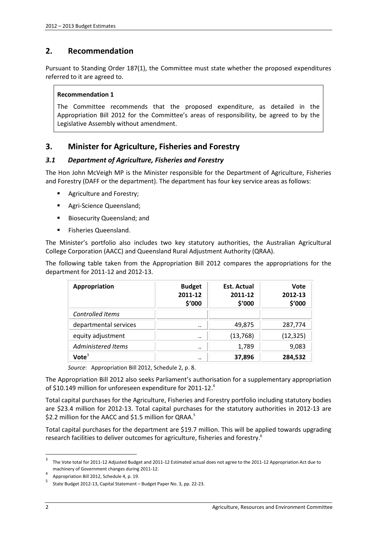# **2. Recommendation**

Pursuant to Standing Order 187(1), the Committee must state whether the proposed expenditures referred to it are agreed to.

#### **Recommendation 1**

The Committee recommends that the proposed expenditure, as detailed in the Appropriation Bill 2012 for the Committee's areas of responsibility, be agreed to by the Legislative Assembly without amendment.

# **3. Minister for Agriculture, Fisheries and Forestry**

#### *3.1 Department of Agriculture, Fisheries and Forestry*

The Hon John McVeigh MP is the Minister responsible for the Department of Agriculture, Fisheries and Forestry (DAFF or the department). The department has four key service areas as follows:

- Agriculture and Forestry;
- **Agri-Science Queensland;**
- **Biosecurity Queensland; and**
- **Fisheries Queensland.**

The Minister's portfolio also includes two key statutory authorities, the Australian Agricultural College Corporation (AACC) and Queensland Rural Adjustment Authority (QRAA).

The following table taken from the Appropriation Bill 2012 compares the appropriations for the department for 2011-12 and 2012-13.

| Appropriation           | <b>Budget</b><br>2011-12<br>\$'000 | <b>Est. Actual</b><br>2011-12<br>\$'000 | <b>Vote</b><br>2012-13<br>\$'000 |
|-------------------------|------------------------------------|-----------------------------------------|----------------------------------|
| <b>Controlled Items</b> |                                    |                                         |                                  |
| departmental services   | $\cdot$ .                          | 49,875                                  | 287,774                          |
| equity adjustment       | $\cdot$ .                          | (13, 768)                               | (12, 325)                        |
| Administered Items      | $\cdot$ .                          | 1,789                                   | 9,083                            |
| Vote <sup>3</sup>       |                                    | 37,896                                  | 284,532                          |

*Source*: Appropriation Bill 2012, Schedule 2, p. 8.

The Appropriation Bill 2012 also seeks Parliament's authorisation for a supplementary appropriation of \$10.149 million for unforeseen expenditure for 2011-12.<sup>4</sup>

Total capital purchases for the Agriculture, Fisheries and Forestry portfolio including statutory bodies are \$23.4 million for 2012-13. Total capital purchases for the statutory authorities in 2012-13 are \$2.2 million for the AACC and \$1.5 million for QRAA.<sup>5</sup>

Total capital purchases for the department are \$19.7 million. This will be applied towards upgrading research facilities to deliver outcomes for agriculture, fisheries and forestry.<sup>6</sup>

<sup>3</sup> The Vote total for 2011-12 Adjusted Budget and 2011-12 Estimated actual does not agree to the 2011-12 Appropriation Act due to machinery of Government changes during 2011-12.<br>Appropriation Bill 2012, Schedule 4, p. 19.

<sup>5</sup> State Budget 2012-13, Capital Statement – Budget Paper No. 3, pp. 22-23.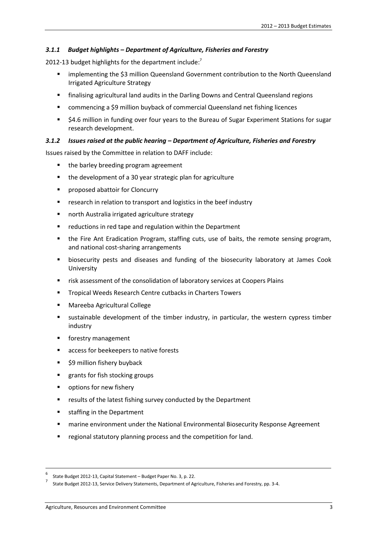#### *3.1.1 Budget highlights – Department of Agriculture, Fisheries and Forestry*

2012-13 budget highlights for the department include: $^7$ 

- implementing the \$3 million Queensland Government contribution to the North Queensland Irrigated Agriculture Strategy
- finalising agricultural land audits in the Darling Downs and Central Queensland regions
- commencing a \$9 million buyback of commercial Queensland net fishing licences
- \$4.6 million in funding over four years to the Bureau of Sugar Experiment Stations for sugar research development.

#### *3.1.2 Issues raised at the public hearing – Department of Agriculture, Fisheries and Forestry*

Issues raised by the Committee in relation to DAFF include:

- the barley breeding program agreement
- the development of a 30 year strategic plan for agriculture
- **Part of abattoir for Cloncurry**
- **F** research in relation to transport and logistics in the beef industry
- north Australia irrigated agriculture strategy
- **F** reductions in red tape and regulation within the Department
- the Fire Ant Eradication Program, staffing cuts, use of baits, the remote sensing program, and national cost-sharing arrangements
- biosecurity pests and diseases and funding of the biosecurity laboratory at James Cook University
- risk assessment of the consolidation of laboratory services at Coopers Plains
- **Tropical Weeds Research Centre cutbacks in Charters Towers**
- Mareeba Agricultural College
- sustainable development of the timber industry, in particular, the western cypress timber industry
- forestry management
- access for beekeepers to native forests
- \$9 million fishery buyback
- **F** grants for fish stocking groups
- **•** options for new fishery
- **F** results of the latest fishing survey conducted by the Department
- **staffing in the Department**
- **EXECT** marine environment under the National Environmental Biosecurity Response Agreement
- **•** regional statutory planning process and the competition for land.

<sup>6</sup> State Budget 2012-13, Capital Statement – Budget Paper No. 3, p. 22.

<sup>7</sup> State Budget 2012-13, Service Delivery Statements, Department of Agriculture, Fisheries and Forestry, pp. 3-4.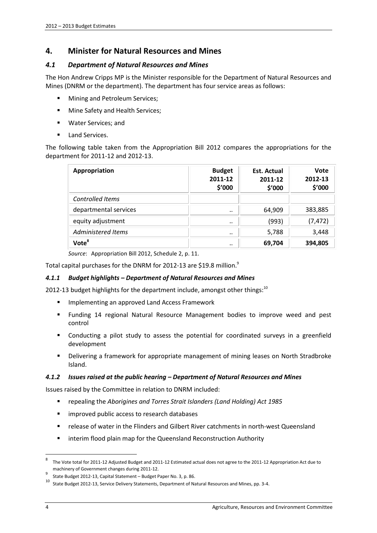# **4. Minister for Natural Resources and Mines**

#### *4.1 Department of Natural Resources and Mines*

The Hon Andrew Cripps MP is the Minister responsible for the Department of Natural Resources and Mines (DNRM or the department). The department has four service areas as follows:

- **Mining and Petroleum Services;**
- **Mine Safety and Health Services;**
- Water Services; and
- Land Services.

The following table taken from the Appropriation Bill 2012 compares the appropriations for the department for 2011-12 and 2012-13.

| Appropriation         | <b>Budget</b><br>2011-12<br>\$'000 | <b>Est. Actual</b><br>2011-12<br>\$′000 | Vote<br>2012-13<br>\$'000 |
|-----------------------|------------------------------------|-----------------------------------------|---------------------------|
| Controlled Items      |                                    |                                         |                           |
| departmental services |                                    | 64,909                                  | 383,885                   |
| equity adjustment     | $\cdot$ .                          | (993)                                   | (7, 472)                  |
| Administered Items    |                                    | 5,788                                   | 3,448                     |
| Vote <sup>8</sup>     |                                    | 69,704                                  | 394,805                   |

*Source*: Appropriation Bill 2012, Schedule 2, p. 11.

Total capital purchases for the DNRM for 2012-13 are \$19.8 million.<sup>9</sup>

#### *4.1.1 Budget highlights – Department of Natural Resources and Mines*

2012-13 budget highlights for the department include, amongst other things: $^{10}$ 

- **Implementing an approved Land Access Framework**
- Funding 14 regional Natural Resource Management bodies to improve weed and pest control
- Conducting a pilot study to assess the potential for coordinated surveys in a greenfield development
- Delivering a framework for appropriate management of mining leases on North Stradbroke Island.

#### *4.1.2 Issues raised at the public hearing – Department of Natural Resources and Mines*

Issues raised by the Committee in relation to DNRM included:

- repealing the *Aborigines and Torres Strait Islanders (Land Holding) Act 1985*
- **F** improved public access to research databases
- release of water in the Flinders and Gilbert River catchments in north-west Queensland
- **E** interim flood plain map for the Queensland Reconstruction Authority

The Vote total for 2011-12 Adjusted Budget and 2011-12 Estimated actual does not agree to the 2011-12 Appropriation Act due to machinery of Government changes during 2011-12.<br>State Budget 2012-13, Capital Statement – Budget Paper No. 3, p. 86.

<sup>10</sup> State Budget 2012-13, Service Delivery Statements, Department of Natural Resources and Mines, pp. 3-4.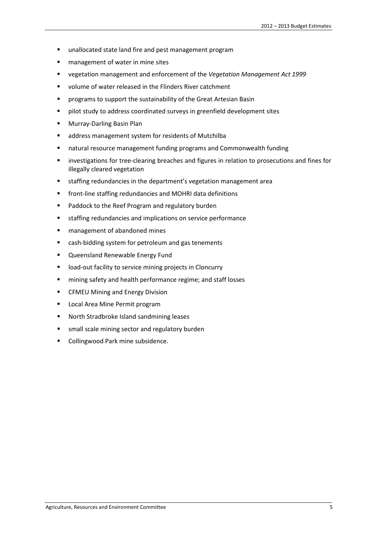- **unallocated state land fire and pest management program**
- **n** management of water in mine sites
- vegetation management and enforcement of the *Vegetation Management Act 1999*
- **volume of water released in the Flinders River catchment**
- **P** programs to support the sustainability of the Great Artesian Basin
- **Philot study to address coordinated surveys in greenfield development sites**
- **Murray-Darling Basin Plan**
- **a** address management system for residents of Mutchilba
- natural resource management funding programs and Commonwealth funding
- **Example 1** investigations for tree-clearing breaches and figures in relation to prosecutions and fines for illegally cleared vegetation
- staffing redundancies in the department's vegetation management area
- **F** front-line staffing redundancies and MOHRI data definitions
- **Paddock to the Reef Program and regulatory burden**
- **staffing redundancies and implications on service performance**
- **F** management of abandoned mines
- cash-bidding system for petroleum and gas tenements
- **Queensland Renewable Energy Fund**
- **IDED-OUTA FAMILY IS A SET VALUATE:** In Cloncurry
- **numinion** safety and health performance regime; and staff losses
- **EXECTED Mining and Energy Division**
- **Local Area Mine Permit program**
- North Stradbroke Island sandmining leases
- small scale mining sector and regulatory burden
- Collingwood Park mine subsidence.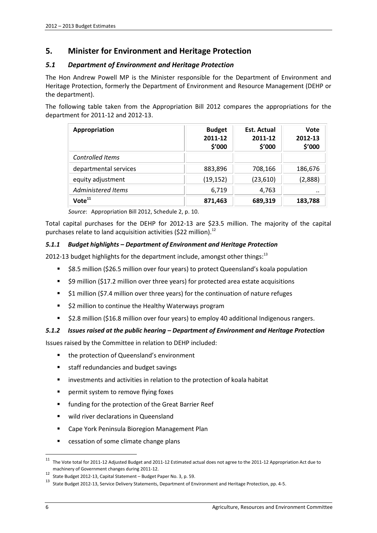# **5. Minister for Environment and Heritage Protection**

#### *5.1 Department of Environment and Heritage Protection*

The Hon Andrew Powell MP is the Minister responsible for the Department of Environment and Heritage Protection, formerly the Department of Environment and Resource Management (DEHP or the department).

The following table taken from the Appropriation Bill 2012 compares the appropriations for the department for 2011-12 and 2012-13.

| Appropriation           | <b>Budget</b><br>2011-12<br>\$'000 | Est. Actual<br>2011-12<br>\$′000 | <b>Vote</b><br>2012-13<br>\$'000 |
|-------------------------|------------------------------------|----------------------------------|----------------------------------|
| <b>Controlled Items</b> |                                    |                                  |                                  |
| departmental services   | 883,896                            | 708,166                          | 186,676                          |
| equity adjustment       | (19, 152)                          | (23,610)                         | (2,888)                          |
| Administered Items      | 6,719                              | 4,763                            |                                  |
| Vote <sup>11</sup>      | 871,463                            | 689,319                          | 183,788                          |

*Source*: Appropriation Bill 2012, Schedule 2, p. 10.

Total capital purchases for the DEHP for 2012-13 are \$23.5 million. The majority of the capital purchases relate to land acquisition activities (\$22 million).<sup>12</sup>

#### *5.1.1 Budget highlights – Department of Environment and Heritage Protection*

2012-13 budget highlights for the department include, amongst other things:<sup>13</sup>

- \$8.5 million (\$26.5 million over four years) to protect Queensland's koala population
- \$9 million (\$17.2 million over three years) for protected area estate acquisitions
- **51 million (\$7.4 million over three years) for the continuation of nature refuges**
- **52 million to continue the Healthy Waterways program**
- \$2.8 million (\$16.8 million over four years) to employ 40 additional Indigenous rangers.

#### *5.1.2 Issues raised at the public hearing – Department of Environment and Heritage Protection*

Issues raised by the Committee in relation to DEHP included:

- the protection of Queensland's environment
- staff redundancies and budget savings
- **EXTERGHT INVERTIONS IN A LOCAL INCOCOLLY A** investments and activities in relation to the protection of koala habitat
- **Parager 1** permit system to remove flying foxes
- **Fig. 1** funding for the protection of the Great Barrier Reef
- **Wild river declarations in Queensland**
- Cape York Peninsula Bioregion Management Plan
- cessation of some climate change plans

<sup>11</sup> The Vote total for 2011-12 Adjusted Budget and 2011-12 Estimated actual does not agree to the 2011-12 Appropriation Act due to machinery of Government changes during 2011-12.<br><sup>12</sup> State Budget 2012-13, Capital Statement – Budget Paper No. 3, p. 59.

<sup>13</sup> State Budget 2012-13, Service Delivery Statements, Department of Environment and Heritage Protection, pp. 4-5.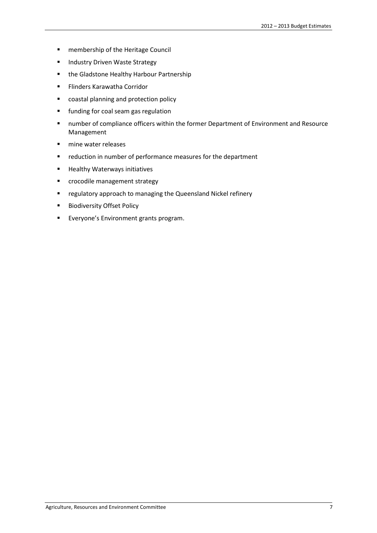- **EXEC** membership of the Heritage Council
- **Industry Driven Waste Strategy**
- **•** the Gladstone Healthy Harbour Partnership
- **Flinders Karawatha Corridor**
- coastal planning and protection policy
- **funding for coal seam gas regulation**
- **number of compliance officers within the former Department of Environment and Resource** Management
- **n** mine water releases
- **•** reduction in number of performance measures for the department
- **Healthy Waterways initiatives**
- **EXECOCODE EXECOCOOLER** crocodile management strategy
- regulatory approach to managing the Queensland Nickel refinery
- **Biodiversity Offset Policy**
- **Everyone's Environment grants program.**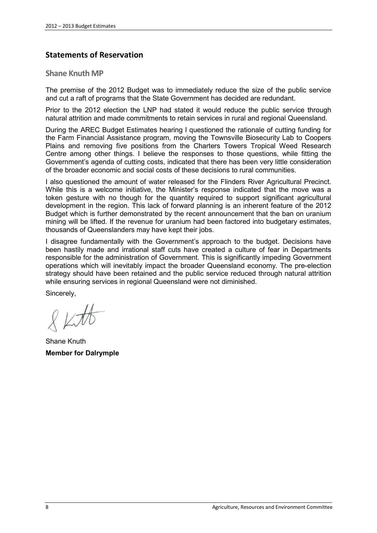# **Statements of Reservation**

#### **Shane Knuth MP**

The premise of the 2012 Budget was to immediately reduce the size of the public service and cut a raft of programs that the State Government has decided are redundant.

Prior to the 2012 election the LNP had stated it would reduce the public service through natural attrition and made commitments to retain services in rural and regional Queensland.

During the AREC Budget Estimates hearing I questioned the rationale of cutting funding for the Farm Financial Assistance program, moving the Townsville Biosecurity Lab to Coopers Plains and removing five positions from the Charters Towers Tropical Weed Research Centre among other things. I believe the responses to those questions, while fitting the Government's agenda of cutting costs, indicated that there has been very little consideration of the broader economic and social costs of these decisions to rural communities.

I also questioned the amount of water released for the Flinders River Agricultural Precinct. While this is a welcome initiative, the Minister's response indicated that the move was a token gesture with no though for the quantity required to support significant agricultural development in the region. This lack of forward planning is an inherent feature of the 2012 Budget which is further demonstrated by the recent announcement that the ban on uranium mining will be lifted. If the revenue for uranium had been factored into budgetary estimates, thousands of Queenslanders may have kept their jobs.

I disagree fundamentally with the Government's approach to the budget. Decisions have been hastily made and irrational staff cuts have created a culture of fear in Departments responsible for the administration of Government. This is significantly impeding Government operations which will inevitably impact the broader Queensland economy. The pre-election strategy should have been retained and the public service reduced through natural attrition while ensuring services in regional Queensland were not diminished.

Sincerely,

Shane Knuth **Member for Dalrymple**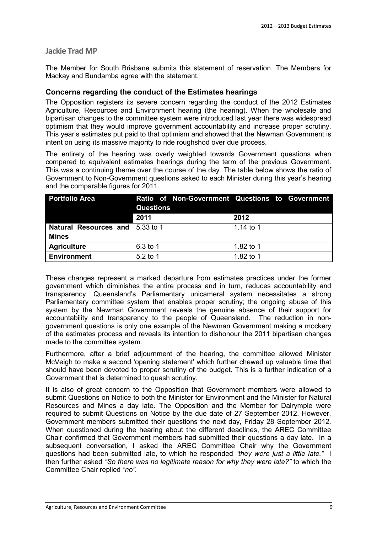# **Jackie Trad MP**

The Member for South Brisbane submits this statement of reservation. The Members for Mackay and Bundamba agree with the statement.

# **Concerns regarding the conduct of the Estimates hearings**

The Opposition registers its severe concern regarding the conduct of the 2012 Estimates Agriculture, Resources and Environment hearing (the hearing). When the wholesale and bipartisan changes to the committee system were introduced last year there was widespread optimism that they would improve government accountability and increase proper scrutiny. This year's estimates put paid to that optimism and showed that the Newman Government is intent on using its massive majority to ride roughshod over due process.

The entirety of the hearing was overly weighted towards Government questions when compared to equivalent estimates hearings during the term of the previous Government. This was a continuing theme over the course of the day. The table below shows the ratio of Government to Non-Government questions asked to each Minister during this year's hearing and the comparable figures for 2011.

| <b>Portfolio Area</b>                  | <b>Questions</b> | Ratio of Non-Government Questions to Government |
|----------------------------------------|------------------|-------------------------------------------------|
|                                        | 2011             | 2012                                            |
| <b>Natural Resources and 5.33 to 1</b> |                  | 1.14 to 1                                       |
| <b>Mines</b>                           |                  |                                                 |
| <b>Agriculture</b>                     | 6.3 to 1         | 1.82 to 1                                       |
| <b>Environment</b>                     | $5.2$ to 1       | 1.82 to 1                                       |

These changes represent a marked departure from estimates practices under the former government which diminishes the entire process and in turn, reduces accountability and transparency. Queensland's Parliamentary unicameral system necessitates a strong Parliamentary committee system that enables proper scrutiny; the ongoing abuse of this system by the Newman Government reveals the genuine absence of their support for accountability and transparency to the people of Queensland. The reduction in nongovernment questions is only one example of the Newman Government making a mockery of the estimates process and reveals its intention to dishonour the 2011 bipartisan changes made to the committee system.

Furthermore, after a brief adjournment of the hearing, the committee allowed Minister McVeigh to make a second 'opening statement' which further chewed up valuable time that should have been devoted to proper scrutiny of the budget. This is a further indication of a Government that is determined to quash scrutiny.

It is also of great concern to the Opposition that Government members were allowed to submit Questions on Notice to both the Minister for Environment and the Minister for Natural Resources and Mines a day late. The Opposition and the Member for Dalrymple were required to submit Questions on Notice by the due date of 27 September 2012. However, Government members submitted their questions the next day, Friday 28 September 2012. When questioned during the hearing about the different deadlines, the AREC Committee Chair confirmed that Government members had submitted their questions a day late. In a subsequent conversation, I asked the AREC Committee Chair why the Government questions had been submitted late, to which he responded *"they were just a little late."* I then further asked *"So there was no legitimate reason for why they were late?"* to which the Committee Chair replied *"no"*.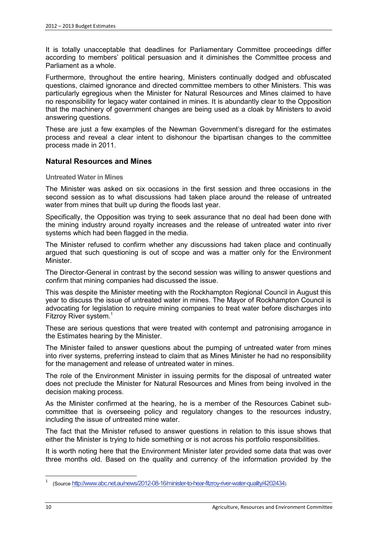It is totally unacceptable that deadlines for Parliamentary Committee proceedings differ according to members' political persuasion and it diminishes the Committee process and Parliament as a whole.

Furthermore, throughout the entire hearing, Ministers continually dodged and obfuscated questions, claimed ignorance and directed committee members to other Ministers. This was particularly egregious when the Minister for Natural Resources and Mines claimed to have no responsibility for legacy water contained in mines. It is abundantly clear to the Opposition that the machinery of government changes are being used as a cloak by Ministers to avoid answering questions.

These are just a few examples of the Newman Government's disregard for the estimates process and reveal a clear intent to dishonour the bipartisan changes to the committee process made in 2011.

# **Natural Resources and Mines**

**Untreated Water in Mines** 

The Minister was asked on six occasions in the first session and three occasions in the second session as to what discussions had taken place around the release of untreated water from mines that built up during the floods last year.

Specifically, the Opposition was trying to seek assurance that no deal had been done with the mining industry around royalty increases and the release of untreated water into river systems which had been flagged in the media.

The Minister refused to confirm whether any discussions had taken place and continually argued that such questioning is out of scope and was a matter only for the Environment Minister.

The Director-General in contrast by the second session was willing to answer questions and confirm that mining companies had discussed the issue.

This was despite the Minister meeting with the Rockhampton Regional Council in August this year to discuss the issue of untreated water in mines. The Mayor of Rockhampton Council is advocating for legislation to require mining companies to treat water before discharges into Fitzroy River system.<sup>1</sup>

These are serious questions that were treated with contempt and patronising arrogance in the Estimates hearing by the Minister.

The Minister failed to answer questions about the pumping of untreated water from mines into river systems, preferring instead to claim that as Mines Minister he had no responsibility for the management and release of untreated water in mines.

The role of the Environment Minister in issuing permits for the disposal of untreated water does not preclude the Minister for Natural Resources and Mines from being involved in the decision making process.

As the Minister confirmed at the hearing, he is a member of the Resources Cabinet subcommittee that is overseeing policy and regulatory changes to the resources industry, including the issue of untreated mine water.

The fact that the Minister refused to answer questions in relation to this issue shows that either the Minister is trying to hide something or is not across his portfolio responsibilities.

It is worth noting here that the Environment Minister later provided some data that was over three months old. Based on the quality and currency of the information provided by the

<sup>1</sup> (Source http://www.abc.net.au/news/2012-08-16/minister-to-hear-fitzroy-river-water-quality/4202434).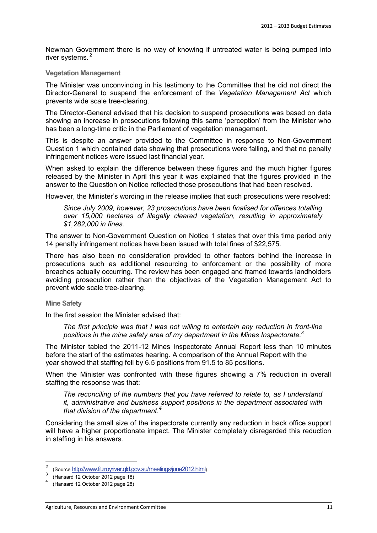Newman Government there is no way of knowing if untreated water is being pumped into river systems. <sup>2</sup>

#### **Vegetation Management**

The Minister was unconvincing in his testimony to the Committee that he did not direct the Director-General to suspend the enforcement of the *Vegetation Management Act* which prevents wide scale tree-clearing.

The Director-General advised that his decision to suspend prosecutions was based on data showing an increase in prosecutions following this same 'perception' from the Minister who has been a long-time critic in the Parliament of vegetation management.

This is despite an answer provided to the Committee in response to Non-Government Question 1 which contained data showing that prosecutions were falling, and that no penalty infringement notices were issued last financial year.

When asked to explain the difference between these figures and the much higher figures released by the Minister in April this year it was explained that the figures provided in the answer to the Question on Notice reflected those prosecutions that had been resolved.

However, the Minister's wording in the release implies that such prosecutions were resolved:

*Since July 2009, however, 23 prosecutions have been finalised for offences totalling over 15,000 hectares of illegally cleared vegetation, resulting in approximately \$1,282,000 in fines.*

The answer to Non-Government Question on Notice 1 states that over this time period only 14 penalty infringement notices have been issued with total fines of \$22,575.

There has also been no consideration provided to other factors behind the increase in prosecutions such as additional resourcing to enforcement or the possibility of more breaches actually occurring. The review has been engaged and framed towards landholders avoiding prosecution rather than the objectives of the Vegetation Management Act to prevent wide scale tree-clearing.

**Mine Safety**

In the first session the Minister advised that:

*The first principle was that I was not willing to entertain any reduction in front-line positions in the mine safety area of my department in the Mines Inspectorate.<sup>3</sup>*

The Minister tabled the 2011-12 Mines Inspectorate Annual Report less than 10 minutes before the start of the estimates hearing. A comparison of the Annual Report with the year showed that staffing fell by 6.5 positions from 91.5 to 85 positions.

When the Minister was confronted with these figures showing a 7% reduction in overall staffing the response was that:

*The reconciling of the numbers that you have referred to relate to, as I understand it, administrative and business support positions in the department associated with that division of the department.4*

Considering the small size of the inspectorate currently any reduction in back office support will have a higher proportionate impact. The Minister completely disregarded this reduction in staffing in his answers.

<sup>&</sup>lt;sup>2</sup> (Source http://www.fitzroyriver.qld.gov.au/meetings/june2012.html)<br>3 (Napaced 12 October 2012 nage 18)

<sup>(</sup>Hansard 12 October 2012 page 18)

<sup>4</sup> (Hansard 12 October 2012 page 28)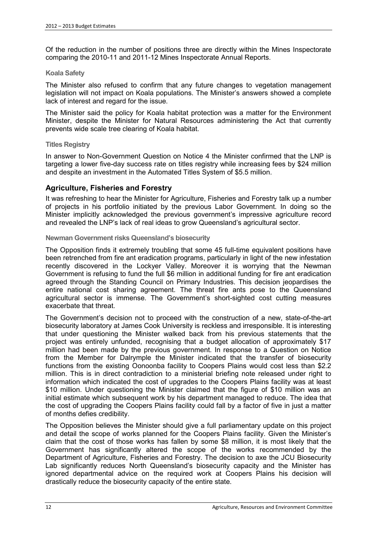Of the reduction in the number of positions three are directly within the Mines Inspectorate comparing the 2010-11 and 2011-12 Mines Inspectorate Annual Reports.

#### **Koala Safety**

The Minister also refused to confirm that any future changes to vegetation management legislation will not impact on Koala populations. The Minister's answers showed a complete lack of interest and regard for the issue.

The Minister said the policy for Koala habitat protection was a matter for the Environment Minister, despite the Minister for Natural Resources administering the Act that currently prevents wide scale tree clearing of Koala habitat.

#### **Titles Registry**

In answer to Non-Government Question on Notice 4 the Minister confirmed that the LNP is targeting a lower five-day success rate on titles registry while increasing fees by \$24 million and despite an investment in the Automated Titles System of \$5.5 million.

#### **Agriculture, Fisheries and Forestry**

It was refreshing to hear the Minister for Agriculture, Fisheries and Forestry talk up a number of projects in his portfolio initiated by the previous Labor Government. In doing so the Minister implicitly acknowledged the previous government's impressive agriculture record and revealed the LNP's lack of real ideas to grow Queensland's agricultural sector.

#### **Newman Government risks Queensland's biosecurity**

The Opposition finds it extremely troubling that some 45 full-time equivalent positions have been retrenched from fire ant eradication programs, particularly in light of the new infestation recently discovered in the Lockyer Valley. Moreover it is worrying that the Newman Government is refusing to fund the full \$6 million in additional funding for fire ant eradication agreed through the Standing Council on Primary Industries. This decision jeopardises the entire national cost sharing agreement. The threat fire ants pose to the Queensland agricultural sector is immense. The Government's short-sighted cost cutting measures exacerbate that threat.

The Government's decision not to proceed with the construction of a new, state-of-the-art biosecurity laboratory at James Cook University is reckless and irresponsible. It is interesting that under questioning the Minister walked back from his previous statements that the project was entirely unfunded, recognising that a budget allocation of approximately \$17 million had been made by the previous government. In response to a Question on Notice from the Member for Dalrymple the Minister indicated that the transfer of biosecurity functions from the existing Oonoonba facility to Coopers Plains would cost less than \$2.2 million. This is in direct contradiction to a ministerial briefing note released under right to information which indicated the cost of upgrades to the Coopers Plains facility was at least \$10 million. Under questioning the Minister claimed that the figure of \$10 million was an initial estimate which subsequent work by his department managed to reduce. The idea that the cost of upgrading the Coopers Plains facility could fall by a factor of five in just a matter of months defies credibility.

The Opposition believes the Minister should give a full parliamentary update on this project and detail the scope of works planned for the Coopers Plains facility. Given the Minister's claim that the cost of those works has fallen by some \$8 million, it is most likely that the Government has significantly altered the scope of the works recommended by the Department of Agriculture, Fisheries and Forestry. The decision to axe the JCU Biosecurity Lab significantly reduces North Queensland's biosecurity capacity and the Minister has ignored departmental advice on the required work at Coopers Plains his decision will drastically reduce the biosecurity capacity of the entire state.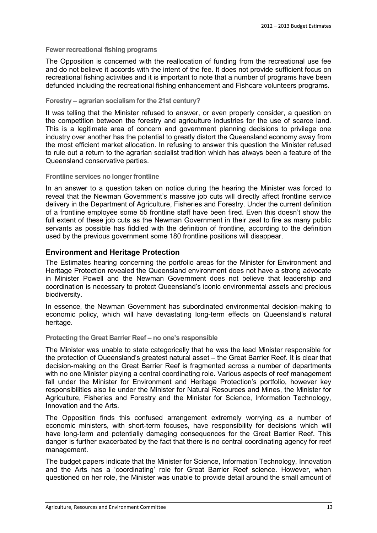#### **Fewer recreational fishing programs**

The Opposition is concerned with the reallocation of funding from the recreational use fee and do not believe it accords with the intent of the fee. It does not provide sufficient focus on recreational fishing activities and it is important to note that a number of programs have been defunded including the recreational fishing enhancement and Fishcare volunteers programs.

#### **Forestry – agrarian socialism for the 21st century?**

It was telling that the Minister refused to answer, or even properly consider, a question on the competition between the forestry and agriculture industries for the use of scarce land. This is a legitimate area of concern and government planning decisions to privilege one industry over another has the potential to greatly distort the Queensland economy away from the most efficient market allocation. In refusing to answer this question the Minister refused to rule out a return to the agrarian socialist tradition which has always been a feature of the Queensland conservative parties.

#### **Frontline services no longer frontline**

In an answer to a question taken on notice during the hearing the Minister was forced to reveal that the Newman Government's massive job cuts will directly affect frontline service delivery in the Department of Agriculture, Fisheries and Forestry. Under the current definition of a frontline employee some 55 frontline staff have been fired. Even this doesn't show the full extent of these job cuts as the Newman Government in their zeal to fire as many public servants as possible has fiddled with the definition of frontline, according to the definition used by the previous government some 180 frontline positions will disappear.

#### **Environment and Heritage Protection**

The Estimates hearing concerning the portfolio areas for the Minister for Environment and Heritage Protection revealed the Queensland environment does not have a strong advocate in Minister Powell and the Newman Government does not believe that leadership and coordination is necessary to protect Queensland's iconic environmental assets and precious biodiversity.

In essence, the Newman Government has subordinated environmental decision-making to economic policy, which will have devastating long-term effects on Queensland's natural heritage.

#### **Protecting the Great Barrier Reef – no one's responsible**

The Minister was unable to state categorically that he was the lead Minister responsible for the protection of Queensland's greatest natural asset – the Great Barrier Reef. It is clear that decision-making on the Great Barrier Reef is fragmented across a number of departments with no one Minister playing a central coordinating role. Various aspects of reef management fall under the Minister for Environment and Heritage Protection's portfolio, however key responsibilities also lie under the Minister for Natural Resources and Mines, the Minister for Agriculture, Fisheries and Forestry and the Minister for Science, Information Technology, Innovation and the Arts.

The Opposition finds this confused arrangement extremely worrying as a number of economic ministers, with short-term focuses, have responsibility for decisions which will have long-term and potentially damaging consequences for the Great Barrier Reef. This danger is further exacerbated by the fact that there is no central coordinating agency for reef management.

The budget papers indicate that the Minister for Science, Information Technology, Innovation and the Arts has a 'coordinating' role for Great Barrier Reef science. However, when questioned on her role, the Minister was unable to provide detail around the small amount of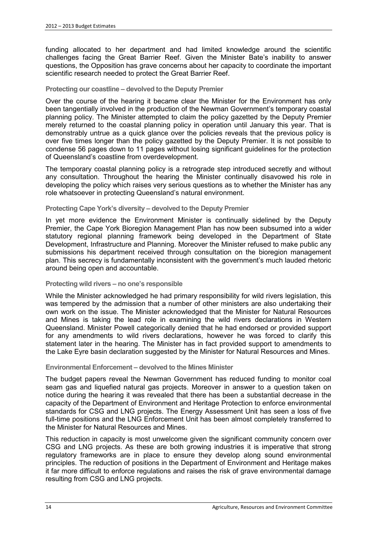funding allocated to her department and had limited knowledge around the scientific challenges facing the Great Barrier Reef. Given the Minister Bate's inability to answer questions, the Opposition has grave concerns about her capacity to coordinate the important scientific research needed to protect the Great Barrier Reef.

#### **Protecting our coastline – devolved to the Deputy Premier**

Over the course of the hearing it became clear the Minister for the Environment has only been tangentially involved in the production of the Newman Government's temporary coastal planning policy. The Minister attempted to claim the policy gazetted by the Deputy Premier merely returned to the coastal planning policy in operation until January this year. That is demonstrably untrue as a quick glance over the policies reveals that the previous policy is over five times longer than the policy gazetted by the Deputy Premier. It is not possible to condense 56 pages down to 11 pages without losing significant guidelines for the protection of Queensland's coastline from overdevelopment.

The temporary coastal planning policy is a retrograde step introduced secretly and without any consultation. Throughout the hearing the Minister continually disavowed his role in developing the policy which raises very serious questions as to whether the Minister has any role whatsoever in protecting Queensland's natural environment.

#### **Protecting Cape York's diversity – devolved to the Deputy Premier**

In yet more evidence the Environment Minister is continually sidelined by the Deputy Premier, the Cape York Bioregion Management Plan has now been subsumed into a wider statutory regional planning framework being developed in the Department of State Development, Infrastructure and Planning. Moreover the Minister refused to make public any submissions his department received through consultation on the bioregion management plan. This secrecy is fundamentally inconsistent with the government's much lauded rhetoric around being open and accountable.

#### **Protecting wild rivers – no one's responsible**

While the Minister acknowledged he had primary responsibility for wild rivers legislation, this was tempered by the admission that a number of other ministers are also undertaking their own work on the issue. The Minister acknowledged that the Minister for Natural Resources and Mines is taking the lead role in examining the wild rivers declarations in Western Queensland. Minister Powell categorically denied that he had endorsed or provided support for any amendments to wild rivers declarations, however he was forced to clarify this statement later in the hearing. The Minister has in fact provided support to amendments to the Lake Eyre basin declaration suggested by the Minister for Natural Resources and Mines.

#### **Environmental Enforcement – devolved to the Mines Minister**

The budget papers reveal the Newman Government has reduced funding to monitor coal seam gas and liquefied natural gas projects. Moreover in answer to a question taken on notice during the hearing it was revealed that there has been a substantial decrease in the capacity of the Department of Environment and Heritage Protection to enforce environmental standards for CSG and LNG projects. The Energy Assessment Unit has seen a loss of five full-time positions and the LNG Enforcement Unit has been almost completely transferred to the Minister for Natural Resources and Mines.

This reduction in capacity is most unwelcome given the significant community concern over CSG and LNG projects. As these are both growing industries it is imperative that strong regulatory frameworks are in place to ensure they develop along sound environmental principles. The reduction of positions in the Department of Environment and Heritage makes it far more difficult to enforce regulations and raises the risk of grave environmental damage resulting from CSG and LNG projects.